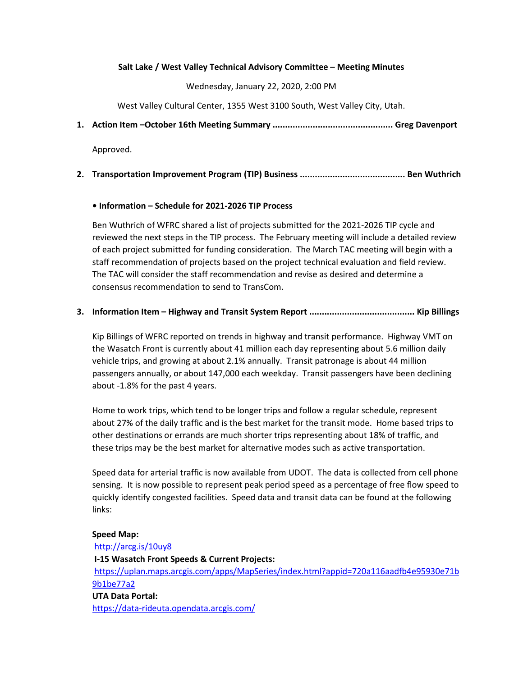#### Salt Lake / West Valley Technical Advisory Committee – Meeting Minutes

Wednesday, January 22, 2020, 2:00 PM

West Valley Cultural Center, 1355 West 3100 South, West Valley City, Utah.

1. Action Item –October 16th Meeting Summary ................................................ Greg Davenport

Approved.

2. Transportation Improvement Program (TIP) Business .......................................... Ben Wuthrich

#### • Information – Schedule for 2021-2026 TIP Process

Ben Wuthrich of WFRC shared a list of projects submitted for the 2021-2026 TIP cycle and reviewed the next steps in the TIP process. The February meeting will include a detailed review of each project submitted for funding consideration. The March TAC meeting will begin with a staff recommendation of projects based on the project technical evaluation and field review. The TAC will consider the staff recommendation and revise as desired and determine a consensus recommendation to send to TransCom.

### 3. Information Item – Highway and Transit System Report .......................................... Kip Billings

Kip Billings of WFRC reported on trends in highway and transit performance. Highway VMT on the Wasatch Front is currently about 41 million each day representing about 5.6 million daily vehicle trips, and growing at about 2.1% annually. Transit patronage is about 44 million passengers annually, or about 147,000 each weekday. Transit passengers have been declining about -1.8% for the past 4 years.

Home to work trips, which tend to be longer trips and follow a regular schedule, represent about 27% of the daily traffic and is the best market for the transit mode. Home based trips to other destinations or errands are much shorter trips representing about 18% of traffic, and these trips may be the best market for alternative modes such as active transportation.

Speed data for arterial traffic is now available from UDOT. The data is collected from cell phone sensing. It is now possible to represent peak period speed as a percentage of free flow speed to quickly identify congested facilities. Speed data and transit data can be found at the following links:

#### Speed Map:

http://arcg.is/10uy8 I-15 Wasatch Front Speeds & Current Projects: https://uplan.maps.arcgis.com/apps/MapSeries/index.html?appid=720a116aadfb4e95930e71b 9b1be77a2 UTA Data Portal: https://data-rideuta.opendata.arcgis.com/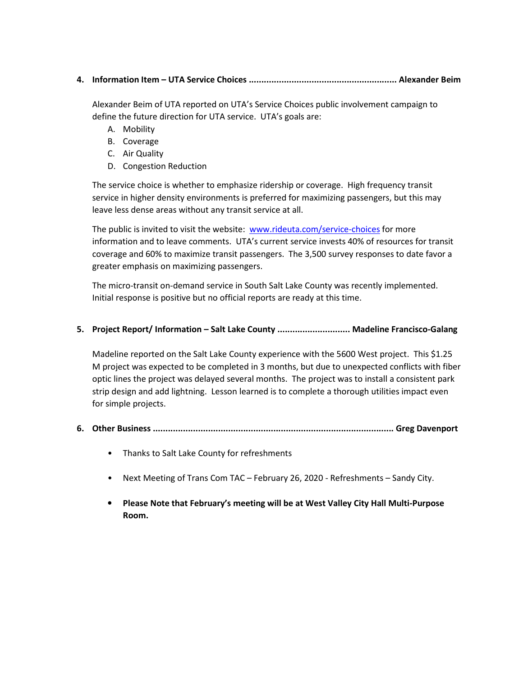4. Information Item – UTA Service Choices ........................................................... Alexander Beim

Alexander Beim of UTA reported on UTA's Service Choices public involvement campaign to define the future direction for UTA service. UTA's goals are:

- A. Mobility
- B. Coverage
- C. Air Quality
- D. Congestion Reduction

The service choice is whether to emphasize ridership or coverage. High frequency transit service in higher density environments is preferred for maximizing passengers, but this may leave less dense areas without any transit service at all.

The public is invited to visit the website: www.rideuta.com/service-choices for more information and to leave comments. UTA's current service invests 40% of resources for transit coverage and 60% to maximize transit passengers. The 3,500 survey responses to date favor a greater emphasis on maximizing passengers.

The micro-transit on-demand service in South Salt Lake County was recently implemented. Initial response is positive but no official reports are ready at this time.

### 5. Project Report/ Information - Salt Lake County .............................. Madeline Francisco-Galang

Madeline reported on the Salt Lake County experience with the 5600 West project. This \$1.25 M project was expected to be completed in 3 months, but due to unexpected conflicts with fiber optic lines the project was delayed several months. The project was to install a consistent park strip design and add lightning. Lesson learned is to complete a thorough utilities impact even for simple projects.

- 6. Other Business ................................................................................................ Greg Davenport
	- Thanks to Salt Lake County for refreshments
	- Next Meeting of Trans Com TAC February 26, 2020 Refreshments Sandy City.
	- Please Note that February's meeting will be at West Valley City Hall Multi-Purpose Room.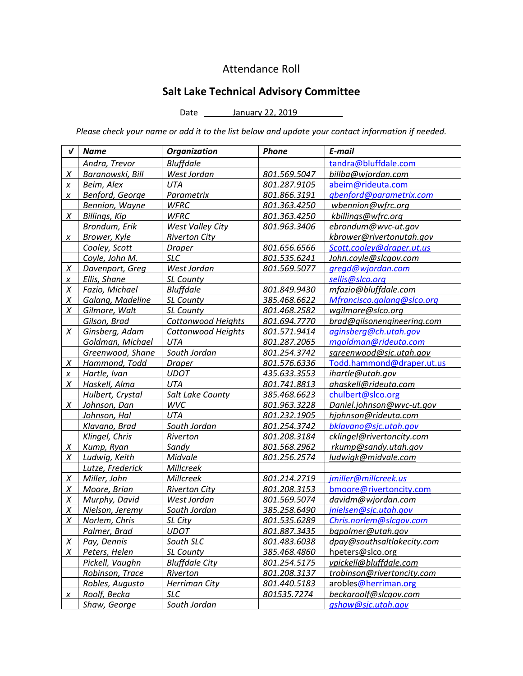## Attendance Roll

# Salt Lake Technical Advisory Committee

Date \_\_\_\_\_\_\_\_ January 22, 2019

Please check your name or add it to the list below and update your contact information if needed.

| V         | <b>Name</b>          | <b>Organization</b>       | Phone               | E-mail                     |
|-----------|----------------------|---------------------------|---------------------|----------------------------|
|           | Andra, Trevor        | <b>Bluffdale</b>          |                     | tandra@bluffdale.com       |
| X         | Baranowski, Bill     | West Jordan               | 801.569.5047        | billba@wjordan.com         |
| X         | Beim, Alex           | <b>UTA</b>                | 801.287.9105        | abeim@rideuta.com          |
| X         | Benford, George      | Parametrix                | 801.866.3191        | gbenford@parametrix.com    |
|           | Bennion, Wayne       | <b>WFRC</b>               | 801.363.4250        | wbennion@wfrc.org          |
| X         | <b>Billings, Kip</b> | <b>WFRC</b>               | 801.363.4250        | kbillings@wfrc.org         |
|           | Brondum, Erik        | <b>West Valley City</b>   | 801.963.3406        | ebrondum@wvc-ut.gov        |
| X         | Brower, Kyle         | <b>Riverton City</b>      |                     | kbrower@rivertonutah.gov   |
|           | Cooley, Scott        | <b>Draper</b>             | 801.656.6566        | Scott.cooley@draper.ut.us  |
|           | Coyle, John M.       | <b>SLC</b>                | 801.535.6241        | John.coyle@slcgov.com      |
| $\chi$    | Davenport, Greg      | West Jordan               | 801.569.5077        | gregd@wjordan.com          |
| X         | Ellis, Shane         | <b>SL County</b>          |                     | sellis@slco.org            |
| Χ         | Fazio, Michael       | <b>Bluffdale</b>          | 801.849.9430        | mfazio@bluffdale.com       |
| Χ         | Galang, Madeline     | SL County                 | 385.468.6622        | Mfrancisco.galang@slco.org |
| Χ         | Gilmore, Walt        | SL County                 | 801.468.2582        | wgilmore@slco.org          |
|           | Gilson, Brad         | Cottonwood Heights        | 801.694.7770        | brad@gilsonengineering.com |
| X         | Ginsberg, Adam       | <b>Cottonwood Heights</b> | 801.571.9414        | aginsberg@ch.utah.gov      |
|           | Goldman, Michael     | UTA                       | 801.287.2065        | mgoldman@rideuta.com       |
|           | Greenwood, Shane     | South Jordan              | 801.254.3742        | sgreenwood@sjc.utah.gov    |
| X         | Hammond, Todd        | <b>Draper</b>             | 801.576.6336        | Todd.hammond@draper.ut.us  |
| X         | Hartle, Ivan         | <b>UDOT</b>               | 435.633.3553        | ihartle@utah.gov           |
| X         | Haskell, Alma        | <b>UTA</b>                | 801.741.8813        | ahaskell@rideuta.com       |
|           | Hulbert, Crystal     | Salt Lake County          | 385.468.6623        | chulbert@slco.org          |
| X         | Johnson, Dan         | <b>WVC</b>                | 801.963.3228        | Daniel.johnson@wvc-ut.gov  |
|           | Johnson, Hal         | <b>UTA</b>                | 801.232.1905        | hjohnson@rideuta.com       |
|           | Klavano, Brad        | South Jordan              | 801.254.3742        | bklavano@sjc.utah.gov      |
|           | Klingel, Chris       | Riverton                  | 801.208.3184        | cklingel@rivertoncity.com  |
| X         | Kump, Ryan           | Sandy                     | 801.568.2962        | rkump@sandy.utah.gov       |
| X         | Ludwig, Keith        | Midvale                   | 801.256.2574        | ludwigk@midvale.com        |
|           | Lutze, Frederick     | <b>Millcreek</b>          |                     |                            |
| X         | Miller, John         | Millcreek                 | 801.214.2719        | jmiller@millcreek.us       |
| Χ         | Moore, Brian         | <b>Riverton City</b>      | 801.208.3153        | bmoore@rivertoncity.com    |
| Χ         | Murphy, David        | West Jordan               | 801.569.5074        | davidm@wjordan.com         |
| Χ         | Nielson, Jeremy      | South Jordan              | 385.258.6490        | jnielsen@sjc.utah.gov      |
| Χ         | Norlem, Chris        | SL City                   | 801.535.6289        | Chris.norlem@slcqov.com    |
|           | <u>Palmer, Brad</u>  | UDOT                      | <u>801.887.3435</u> | bqpalmer@utah.gov          |
| X         | Pay, Dennis          | South SLC                 | 801.483.6038        | dpay@southsaltlakecity.com |
| X         | Peters, Helen        | SL County                 | 385.468.4860        | hpeters@slco.org           |
|           | Pickell, Vaughn      | <b>Bluffdale City</b>     | 801.254.5175        | vpickell@bluffdale.com     |
|           | Robinson, Trace      | Riverton                  | 801.208.3137        | trobinson@rivertoncity.com |
|           | Robles, Augusto      | Herriman City             | 801.440.5183        | arobles@herriman.org       |
| $\pmb{X}$ | Roolf, Becka         | <b>SLC</b>                | 801535.7274         | beckaroolf@slcgov.com      |
|           | Shaw, George         | South Jordan              |                     | gshaw@sjc.utah.gov         |